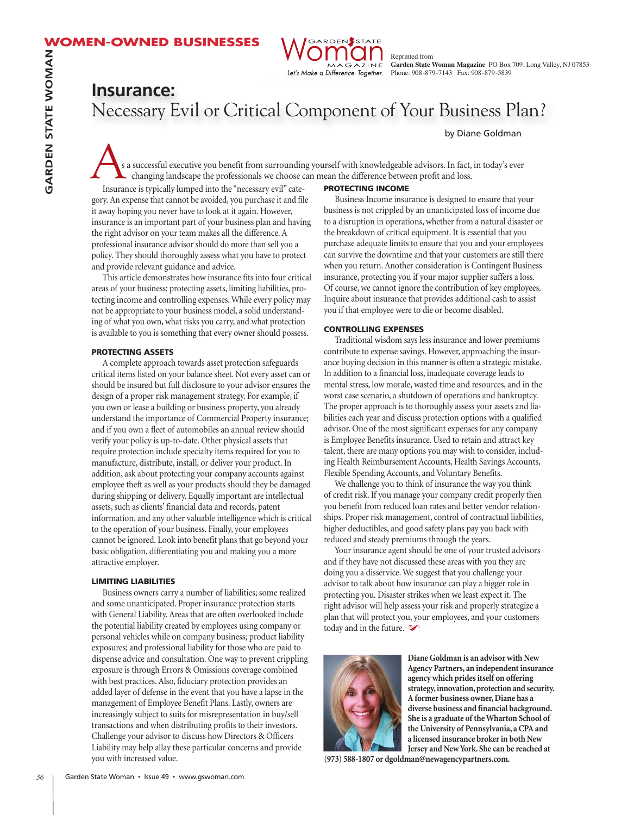

Reprinted from **Garden State Woman Magazine** PO Box 709, Long Valley, NJ 07853 Phone: 908-879-7143 Fax: 908-879-5839

# **Insurance:** Necessary Evil or Critical Component of Your Business Plan?

by Diane Goldman

s a successful executive you benefit from surrounding yourself with knowledgeable advisors. In fact, in today's ever changing landscape the professionals we choose can mean the difference between profit and loss.

Insurance is typically lumped into the "necessary evil" category. An expense that cannot be avoided, you purchase it and file it away hoping you never have to look at it again. However, insurance is an important part of your business plan and having the right advisor on your team makes all the difference. A professional insurance advisor should do more than sell you a policy. They should thoroughly assess what you have to protect and provide relevant guidance and advice.

This article demonstrates how insurance fits into four critical areas of your business: protecting assets, limiting liabilities, protecting income and controlling expenses. While every policy may not be appropriate to your business model, a solid understanding of what you own, what risks you carry, and what protection is available to you is something that every owner should possess.

#### **PROTECTING ASSETS**

A complete approach towards asset protection safeguards critical items listed on your balance sheet. Not every asset can or should be insured but full disclosure to your advisor ensures the design of a proper risk management strategy. For example, if you own or lease a building or business property, you already understand the importance of Commercial Property insurance; and if you own a fleet of automobiles an annual review should verify your policy is up-to-date. Other physical assets that require protection include specialty items required for you to manufacture, distribute, install, or deliver your product. In addition, ask about protecting your company accounts against employee theft as well as your products should they be damaged during shipping or delivery. Equally important are intellectual assets, such as clients' financial data and records, patent information, and any other valuable intelligence which is critical to the operation of your business. Finally, your employees cannot be ignored. Look into benefit plans that go beyond your basic obligation, differentiating you and making you a more attractive employer.

#### **LIMITING LIABILITIES**

Business owners carry a number of liabilities; some realized and some unanticipated. Proper insurance protection starts with General Liability. Areas that are often overlooked include the potential liability created by employees using company or personal vehicles while on company business; product liability exposures; and professional liability for those who are paid to dispense advice and consultation. One way to prevent crippling exposure is through Errors & Omissions coverage combined with best practices. Also, fiduciary protection provides an added layer of defense in the event that you have a lapse in the management of Employee Benefit Plans. Lastly, owners are increasingly subject to suits for misrepresentation in buy/sell transactions and when distributing profits to their investors. Challenge your advisor to discuss how Directors & Officers Liability may help allay these particular concerns and provide you with increased value.

## **PROTECTING INCOME**

Business Income insurance is designed to ensure that your business is not crippled by an unanticipated loss of income due to a disruption in operations, whether from a natural disaster or the breakdown of critical equipment. It is essential that you purchase adequate limits to ensure that you and your employees can survive the downtime and that your customers are still there when you return.Another consideration is Contingent Business insurance, protecting you if your major supplier suffers a loss. Of course, we cannot ignore the contribution of key employees. Inquire about insurance that provides additional cash to assist you if that employee were to die or become disabled.

### **CONTROLLING EXPENSES**

Traditional wisdom says less insurance and lower premiums contribute to expense savings. However, approaching the insurance buying decision in this manner is often a strategic mistake. In addition to a financial loss, inadequate coverage leads to mental stress, low morale, wasted time and resources, and in the worst case scenario, a shutdown of operations and bankruptcy. The proper approach is to thoroughly assess your assets and liabilities each year and discuss protection options with a qualified advisor. One of the most significant expenses for any company is Employee Benefits insurance. Used to retain and attract key talent, there are many options you may wish to consider, including Health Reimbursement Accounts, Health Savings Accounts, Flexible Spending Accounts, and Voluntary Benefits.

We challenge you to think of insurance the way you think of credit risk. If you manage your company credit properly then you benefit from reduced loan rates and better vendor relationships. Proper risk management, control of contractual liabilities, higher deductibles, and good safety plans pay you back with reduced and steady premiums through the years.

Your insurance agent should be one of your trusted advisors and if they have not discussed these areas with you they are doing you a disservice. We suggest that you challenge your advisor to talk about how insurance can play a bigger role in protecting you. Disaster strikes when we least expect it. The right advisor will help assess your risk and properly strategize a plan that will protect you, your employees, and your customers today and in the future.  $\infty$ 



**Diane Goldman is an advisor with New Agency Partners, an independent insurance agency which pridesitself on offering strategy, innovation, protection and security. A former business owner,Diane has a diverse business and financial background. She is a graduate of theWharton School of the University of Pennsylvania, a CPA and a licensed insurance brokerin both New Jersey and NewYork. She can be reached at**

**(973) 588-1807 or dgoldman@newagencypartners.com.**

**G**